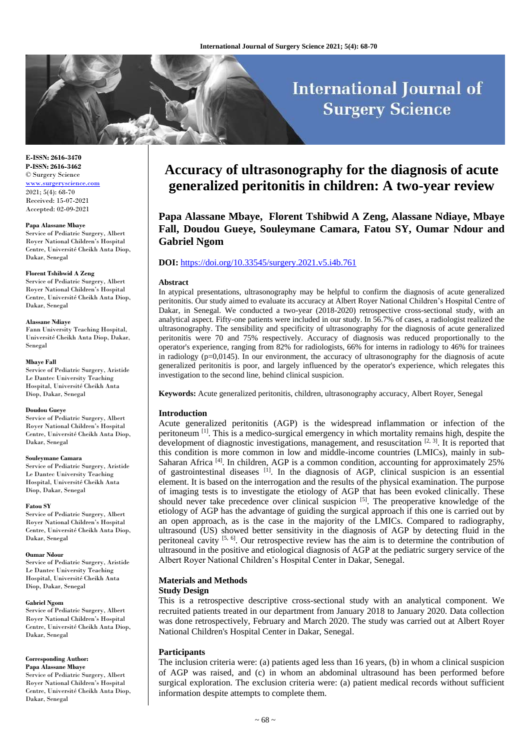# **International Journal of Surgery Science**

**E-ISSN: 2616-3470 P-ISSN: 2616-3462** © Surgery Science [www.surgeryscience.com](http://www.surgeryscience.com/)

2021; 5(4): 68-70 Received: 15-07-2021 Accepted: 02-09-2021

#### **Papa Alassane Mbaye**

Service of Pediatric Surgery, Albert Royer National Children's Hospital Centre, Université Cheikh Anta Diop, Dakar, Senegal

#### **Florent Tshibwid A Zeng**

Service of Pediatric Surgery, Albert Royer National Children's Hospital Centre, Université Cheikh Anta Diop, Dakar, Senegal

#### **Alassane Ndiaye**

Fann University Teaching Hospital, Université Cheikh Anta Diop, Dakar, Senegal

#### **Mbaye Fall**

Service of Pediatric Surgery, Aristide Le Dantec University Teaching Hospital, Université Cheikh Anta Diop, Dakar, Senegal

#### **Doudou Gueye**

Service of Pediatric Surgery, Albert Royer National Children's Hospital Centre, Université Cheikh Anta Diop, Dakar, Senegal

#### **Souleymane Camara**

Service of Pediatric Surgery, Aristide Le Dantec University Teaching Hospital, Université Cheikh Anta Diop, Dakar, Senegal

#### **Fatou SY**

Service of Pediatric Surgery, Albert Royer National Children's Hospital Centre, Université Cheikh Anta Diop, Dakar, Senegal

#### **Oumar Ndour**

Service of Pediatric Surgery, Aristide Le Dantec University Teaching Hospital, Université Cheikh Anta Diop, Dakar, Senegal

#### **Gabriel Ngom**

Service of Pediatric Surgery, Albert Royer National Children's Hospital Centre, Université Cheikh Anta Diop, Dakar, Senegal

# **Corresponding Author:**

**Papa Alassane Mbaye** Service of Pediatric Surgery, Albert Royer National Children's Hospital Centre, Université Cheikh Anta Diop, Dakar, Senegal

# **Accuracy of ultrasonography for the diagnosis of acute generalized peritonitis in children: A two-year review**

**Papa Alassane Mbaye, Florent Tshibwid A Zeng, Alassane Ndiaye, Mbaye Fall, Doudou Gueye, Souleymane Camara, Fatou SY, Oumar Ndour and Gabriel Ngom**

# **DOI:** <https://doi.org/10.33545/surgery.2021.v5.i4b.761>

#### **Abstract**

In atypical presentations, ultrasonography may be helpful to confirm the diagnosis of acute generalized peritonitis. Our study aimed to evaluate its accuracy at Albert Royer National Children's Hospital Centre of Dakar, in Senegal. We conducted a two-year (2018-2020) retrospective cross-sectional study, with an analytical aspect. Fifty-one patients were included in our study. In 56.7% of cases, a radiologist realized the ultrasonography. The sensibility and specificity of ultrasonography for the diagnosis of acute generalized peritonitis were 70 and 75% respectively. Accuracy of diagnosis was reduced proportionally to the operator's experience, ranging from 82% for radiologists, 66% for interns in radiology to 46% for trainees in radiology (p=0,0145). In our environment, the accuracy of ultrasonography for the diagnosis of acute generalized peritonitis is poor, and largely influenced by the operator's experience, which relegates this investigation to the second line, behind clinical suspicion.

**Keywords:** Acute generalized peritonitis, children, ultrasonography accuracy, Albert Royer, Senegal

#### **Introduction**

Acute generalized peritonitis (AGP) is the widespread inflammation or infection of the peritoneum  $\left[1\right]$ . This is a medico-surgical emergency in which mortality remains high, despite the development of diagnostic investigations, management, and resuscitation  $[2, 3]$ . It is reported that this condition is more common in low and middle-income countries (LMICs), mainly in sub-Saharan Africa <sup>[4]</sup>. In children, AGP is a common condition, accounting for approximately 25% of gastrointestinal diseases <sup>[1]</sup>. In the diagnosis of AGP, clinical suspicion is an essential element. It is based on the interrogation and the results of the physical examination. The purpose of imaging tests is to investigate the etiology of AGP that has been evoked clinically. These should never take precedence over clinical suspicion [5]. The preoperative knowledge of the etiology of AGP has the advantage of guiding the surgical approach if this one is carried out by an open approach, as is the case in the majority of the LMICs. Compared to radiography, ultrasound (US) showed better sensitivity in the diagnosis of AGP by detecting fluid in the peritoneal cavity  $[5, 6]$ . Our retrospective review has the aim is to determine the contribution of ultrasound in the positive and etiological diagnosis of AGP at the pediatric surgery service of the Albert Royer National Children's Hospital Center in Dakar, Senegal.

# **Materials and Methods**

# **Study Design**

This is a retrospective descriptive cross-sectional study with an analytical component. We recruited patients treated in our department from January 2018 to January 2020. Data collection was done retrospectively, February and March 2020. The study was carried out at Albert Royer National Children's Hospital Center in Dakar, Senegal.

### **Participants**

The inclusion criteria were: (a) patients aged less than 16 years, (b) in whom a clinical suspicion of AGP was raised, and (c) in whom an abdominal ultrasound has been performed before surgical exploration. The exclusion criteria were: (a) patient medical records without sufficient information despite attempts to complete them.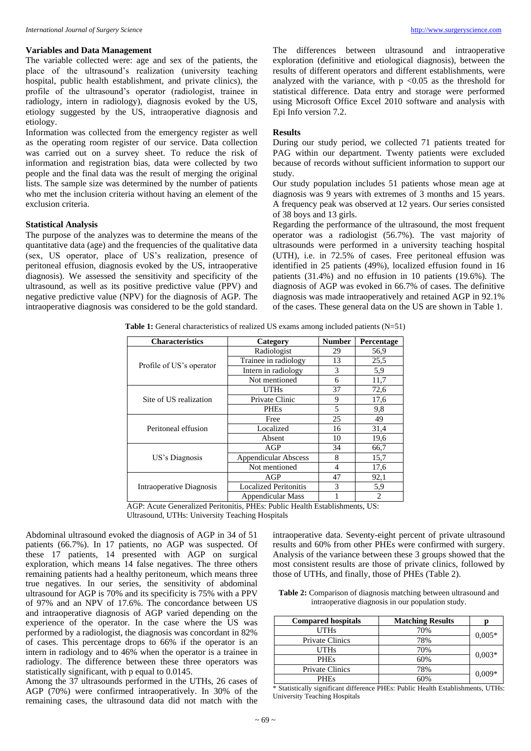#### **Variables and Data Management**

The variable collected were: age and sex of the patients, the place of the ultrasound's realization (university teaching hospital, public health establishment, and private clinics), the profile of the ultrasound's operator (radiologist, trainee in radiology, intern in radiology), diagnosis evoked by the US, etiology suggested by the US, intraoperative diagnosis and etiology.

Information was collected from the emergency register as well as the operating room register of our service. Data collection was carried out on a survey sheet. To reduce the risk of information and registration bias, data were collected by two people and the final data was the result of merging the original lists. The sample size was determined by the number of patients who met the inclusion criteria without having an element of the exclusion criteria.

# **Statistical Analysis**

The purpose of the analyzes was to determine the means of the quantitative data (age) and the frequencies of the qualitative data (sex, US operator, place of US's realization, presence of peritoneal effusion, diagnosis evoked by the US, intraoperative diagnosis). We assessed the sensitivity and specificity of the ultrasound, as well as its positive predictive value (PPV) and negative predictive value (NPV) for the diagnosis of AGP. The intraoperative diagnosis was considered to be the gold standard.

The differences between ultrasound and intraoperative exploration (definitive and etiological diagnosis), between the results of different operators and different establishments, were analyzed with the variance, with  $p \le 0.05$  as the threshold for statistical difference. Data entry and storage were performed using Microsoft Office Excel 2010 software and analysis with Epi Info version 7.2.

# **Results**

During our study period, we collected 71 patients treated for PAG within our department. Twenty patients were excluded because of records without sufficient information to support our study.

Our study population includes 51 patients whose mean age at diagnosis was 9 years with extremes of 3 months and 15 years. A frequency peak was observed at 12 years. Our series consisted of 38 boys and 13 girls.

Regarding the performance of the ultrasound, the most frequent operator was a radiologist (56.7%). The vast majority of ultrasounds were performed in a university teaching hospital (UTH), i.e. in 72.5% of cases. Free peritoneal effusion was identified in 25 patients (49%), localized effusion found in 16 patients (31.4%) and no effusion in 10 patients (19.6%). The diagnosis of AGP was evoked in 66.7% of cases. The definitive diagnosis was made intraoperatively and retained AGP in 92.1% of the cases. These general data on the US are shown in Table 1.

**Table 1:** General characteristics of realized US exams among included patients (N=51)

| <b>Characteristics</b>   | Category                     | <b>Number</b> | Percentage     |
|--------------------------|------------------------------|---------------|----------------|
| Profile of US's operator | Radiologist                  | 29            | 56,9           |
|                          | Trainee in radiology         | 13            | 25,5           |
|                          | Intern in radiology          | 3             | 5,9            |
|                          | Not mentioned                | 6             | 11,7           |
|                          | UTHs                         | 37<br>9<br>5  | 72,6           |
| Site of US realization   | Private Clinic               |               | 17,6           |
|                          | <b>PHEs</b>                  |               | 9,8            |
| Peritoneal effusion      | Free                         | 25            | 49             |
|                          | Localized                    | 16            | 31,4           |
|                          | Absent                       | 10            | 19,6           |
|                          | AGP                          | 34            | 66,7           |
| US's Diagnosis           | <b>Appendicular Abscess</b>  | 8             | 15,7           |
|                          | Not mentioned                | 4             | 17,6           |
| Intraoperative Diagnosis | AGP                          | 47            | 92,1           |
|                          | <b>Localized Peritonitis</b> | $\mathcal{R}$ | 5,9            |
|                          | Appendicular Mass            |               | $\overline{c}$ |

AGP: Acute Generalized Peritonitis, PHEs: Public Health Establishments, US: Ultrasound, UTHs: University Teaching Hospitals

Abdominal ultrasound evoked the diagnosis of AGP in 34 of 51 patients (66.7%). In 17 patients, no AGP was suspected. Of these 17 patients, 14 presented with AGP on surgical exploration, which means 14 false negatives. The three others remaining patients had a healthy peritoneum, which means three true negatives. In our series, the sensitivity of abdominal ultrasound for AGP is 70% and its specificity is 75% with a PPV of 97% and an NPV of 17.6%. The concordance between US and intraoperative diagnosis of AGP varied depending on the experience of the operator. In the case where the US was performed by a radiologist, the diagnosis was concordant in 82% of cases. This percentage drops to 66% if the operator is an intern in radiology and to 46% when the operator is a trainee in radiology. The difference between these three operators was statistically significant, with p equal to 0.0145.

Among the 37 ultrasounds performed in the UTHs, 26 cases of AGP (70%) were confirmed intraoperatively. In 30% of the remaining cases, the ultrasound data did not match with the

intraoperative data. Seventy-eight percent of private ultrasound results and 60% from other PHEs were confirmed with surgery. Analysis of the variance between these 3 groups showed that the most consistent results are those of private clinics, followed by those of UTHs, and finally, those of PHEs (Table 2).

**Table 2:** Comparison of diagnosis matching between ultrasound and intraoperative diagnosis in our population study.

| <b>Compared hospitals</b> | <b>Matching Results</b> |          |  |
|---------------------------|-------------------------|----------|--|
| <b>UTHs</b>               | 70%                     | $0.005*$ |  |
| <b>Private Clinics</b>    | 78%                     |          |  |
| UTHs                      | 70%                     | $0.003*$ |  |
| <b>PHEs</b>               | 60%                     |          |  |
| <b>Private Clinics</b>    | 78%<br>$0,009*$<br>60%  |          |  |
| <b>PHEs</b>               |                         |          |  |

\* Statistically significant difference PHEs: Public Health Establishments, UTHs: University Teaching Hospitals